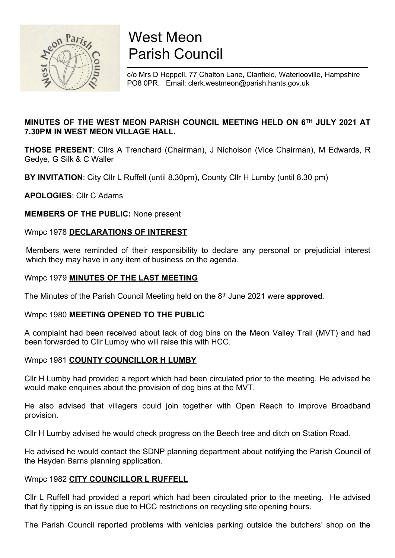

# West Meon Parish Council

c/o Mrs D Heppell, 77 Chalton Lane, Clanfield, Waterlooville, Hampshire PO8 0PR. Email: clerk.westmeon@parish.hants.gov.uk

# MINUTES OF THE WEST MEON PARISH COUNCIL MEETING HELD ON 6TH JULY 2021 AT 7.30PM IN WEST MEON VILLAGE HALL.

THOSE PRESENT: Cllrs A Trenchard (Chairman), J Nicholson (Vice Chairman), M Edwards, R Gedye, G Silk & C Waller

BY INVITATION: City Cllr L Ruffell (until 8.30pm), County Cllr H Lumby (until 8.30 pm)

APOLOGIES: Cllr C Adams

MEMBERS OF THE PUBLIC: None present

#### Wmpc 1978 DECLARATIONS OF INTEREST

Members were reminded of their responsibility to declare any personal or prejudicial interest which they may have in any item of business on the agenda.

#### Wmpc 1979 MINUTES OF THE LAST MEETING

The Minutes of the Parish Council Meeting held on the 8<sup>th</sup> June 2021 were approved.

#### Wmpc 1980 **MEETING OPENED TO THE PUBLIC**

A complaint had been received about lack of dog bins on the Meon Valley Trail (MVT) and had been forwarded to Cllr Lumby who will raise this with HCC.

#### Wmpc 1981 COUNTY COUNCILLOR H LUMBY

Cllr H Lumby had provided a report which had been circulated prior to the meeting. He advised he would make enquiries about the provision of dog bins at the MVT.

He also advised that villagers could join together with Open Reach to improve Broadband provision.

Cllr H Lumby advised he would check progress on the Beech tree and ditch on Station Road.

He advised he would contact the SDNP planning department about notifying the Parish Council of the Hayden Barns planning application.

#### Wmpc 1982 CITY COUNCILLOR L RUFFELL

Cllr L Ruffell had provided a report which had been circulated prior to the meeting. He advised that fly tipping is an issue due to HCC restrictions on recycling site opening hours.

The Parish Council reported problems with vehicles parking outside the butchers' shop on the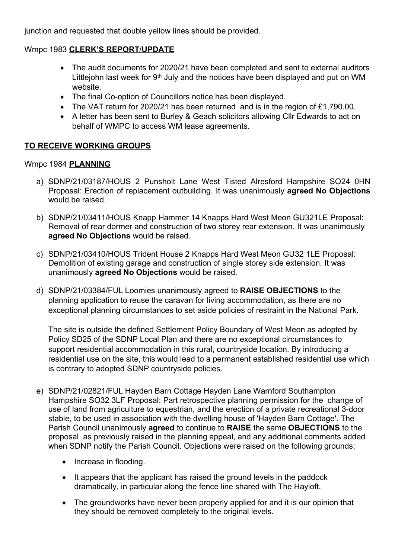junction and requested that double yellow lines should be provided.

# Wmpc 1983 CLERK'S REPORT/UPDATE

- The audit documents for 2020/21 have been completed and sent to external auditors Littleiohn last week for  $9<sup>th</sup>$  July and the notices have been displayed and put on WM website.
- The final Co-option of Councillors notice has been displayed.
- The VAT return for 2020/21 has been returned and is in the region of £1,790.00.
- A letter has been sent to Burley & Geach solicitors allowing Cllr Edwards to act on behalf of WMPC to access WM lease agreements.

# TO RECEIVE WORKING GROUPS

# Wmpc 1984 PLANNING

- a) SDNP/21/03187/HOUS 2 Punsholt Lane West Tisted Alresford Hampshire SO24 0HN Proposal: Erection of replacement outbuilding. It was unanimously agreed No Objections would be raised.
- b) SDNP/21/03411/HOUS Knapp Hammer 14 Knapps Hard West Meon GU321LE Proposal: Removal of rear dormer and construction of two storey rear extension. It was unanimously agreed No Objections would be raised.
- c) SDNP/21/03410/HOUS Trident House 2 Knapps Hard West Meon GU32 1LE Proposal: Demolition of existing garage and construction of single storey side extension. It was unanimously agreed No Objections would be raised.
- d) SDNP/21/03384/FUL Loomies unanimously agreed to RAISE OBJECTIONS to the planning application to reuse the caravan for living accommodation, as there are no exceptional planning circumstances to set aside policies of restraint in the National Park.

The site is outside the defined Settlement Policy Boundary of West Meon as adopted by Policy SD25 of the SDNP Local Plan and there are no exceptional circumstances to support residential accommodation in this rural, countryside location. By introducing a residential use on the site, this would lead to a permanent established residential use which is contrary to adopted SDNP countryside policies.

- e) SDNP/21/02821/FUL Hayden Barn Cottage Hayden Lane Warnford Southampton Hampshire SO32 3LF Proposal: Part retrospective planning permission for the change of use of land from agriculture to equestrian, and the erection of a private recreational 3-door stable, to be used in association with the dwelling house of 'Hayden Barn Cottage'. The Parish Council unanimously agreed to continue to RAISE the same OBJECTIONS to the proposal as previously raised in the planning appeal, and any additional comments added when SDNP notify the Parish Council. Objections were raised on the following grounds;
	- Increase in flooding.
	- It appears that the applicant has raised the ground levels in the paddock dramatically, in particular along the fence line shared with The Hayloft.
	- The groundworks have never been properly applied for and it is our opinion that they should be removed completely to the original levels.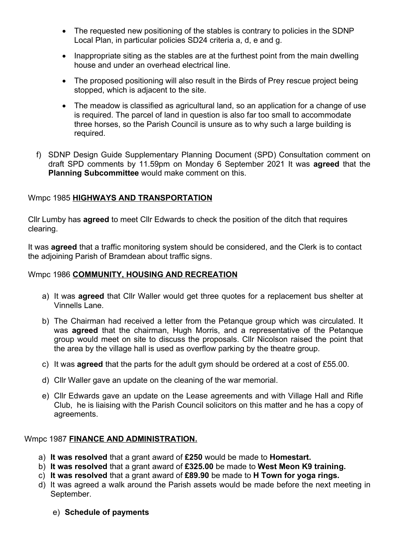- The requested new positioning of the stables is contrary to policies in the SDNP Local Plan, in particular policies SD24 criteria a, d, e and g.
- Inappropriate siting as the stables are at the furthest point from the main dwelling house and under an overhead electrical line.
- The proposed positioning will also result in the Birds of Prey rescue project being stopped, which is adjacent to the site.
- The meadow is classified as agricultural land, so an application for a change of use is required. The parcel of land in question is also far too small to accommodate three horses, so the Parish Council is unsure as to why such a large building is required.
- f) SDNP Design Guide Supplementary Planning Document (SPD) Consultation comment on draft SPD comments by 11.59pm on Monday 6 September 2021 It was agreed that the Planning Subcommittee would make comment on this.

# Wmpc 1985 HIGHWAYS AND TRANSPORTATION

Cllr Lumby has agreed to meet Cllr Edwards to check the position of the ditch that requires clearing.

It was **agreed** that a traffic monitoring system should be considered, and the Clerk is to contact the adjoining Parish of Bramdean about traffic signs.

# Wmpc 1986 COMMUNITY, HOUSING AND RECREATION

- a) It was **agreed** that Cllr Waller would get three quotes for a replacement bus shelter at Vinnells Lane.
- b) The Chairman had received a letter from the Petanque group which was circulated. It was **agreed** that the chairman, Hugh Morris, and a representative of the Petanque group would meet on site to discuss the proposals. Cllr Nicolson raised the point that the area by the village hall is used as overflow parking by the theatre group.
- c) It was agreed that the parts for the adult gym should be ordered at a cost of £55.00.
- d) Cllr Waller gave an update on the cleaning of the war memorial.
- e) Cllr Edwards gave an update on the Lease agreements and with Village Hall and Rifle Club, he is liaising with the Parish Council solicitors on this matter and he has a copy of agreements.

#### Wmpc 1987 FINANCE AND ADMINISTRATION.

- a) It was resolved that a grant award of £250 would be made to Homestart.
- b) It was resolved that a grant award of £325.00 be made to West Meon K9 training.
- c) It was resolved that a grant award of £89.90 be made to H Town for yoga rings.
- d) It was agreed a walk around the Parish assets would be made before the next meeting in September.
	- e) Schedule of payments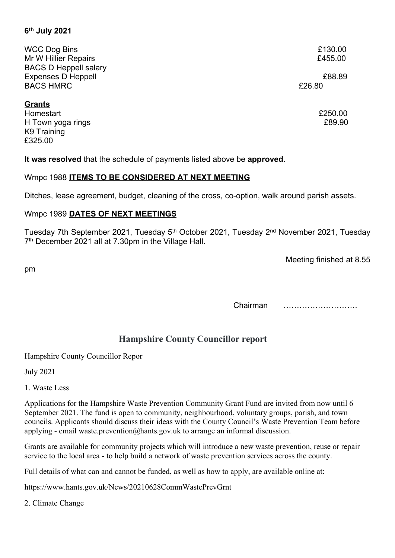# 6 th July 2021

| <b>WCC Dog Bins</b>          | £130.00 |
|------------------------------|---------|
| Mr W Hillier Repairs         | £455.00 |
| <b>BACS D Heppell salary</b> |         |
| <b>Expenses D Heppell</b>    | £88.89  |
| <b>BACS HMRC</b>             | £26.80  |
|                              |         |
| <b>Grants</b>                |         |
| Homestart                    | £250.00 |
| H Town yoga rings            | £89.90  |
| K9 Training                  |         |
| £325.00                      |         |

It was resolved that the schedule of payments listed above be approved.

#### Wmpc 1988 ITEMS TO BE CONSIDERED AT NEXT MEETING

Ditches, lease agreement, budget, cleaning of the cross, co-option, walk around parish assets.

#### Wmpc 1989 DATES OF NEXT MEETINGS

Tuesday 7th September 2021, Tuesday 5<sup>th</sup> October 2021, Tuesday 2<sup>nd</sup> November 2021, Tuesday 7<sup>th</sup> December 2021 all at 7.30pm in the Village Hall.

Meeting finished at 8.55

pm

Chairman ……………………….

# Hampshire County Councillor report

Hampshire County Councillor Repor

July 2021

1. Waste Less

Applications for the Hampshire Waste Prevention Community Grant Fund are invited from now until 6 September 2021. The fund is open to community, neighbourhood, voluntary groups, parish, and town councils. Applicants should discuss their ideas with the County Council's Waste Prevention Team before applying - email waste.prevention@hants.gov.uk to arrange an informal discussion.

Grants are available for community projects which will introduce a new waste prevention, reuse or repair service to the local area - to help build a network of waste prevention services across the county.

Full details of what can and cannot be funded, as well as how to apply, are available online at:

https://www.hants.gov.uk/News/20210628CommWastePrevGrnt

2. Climate Change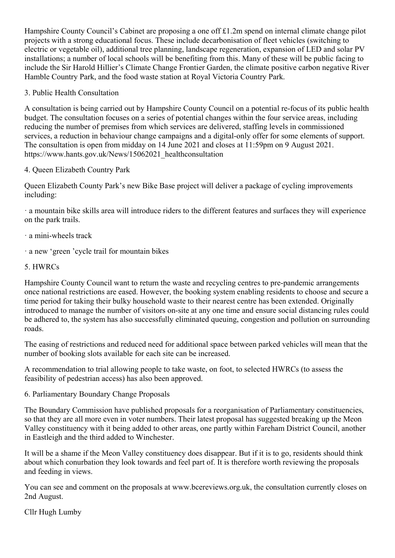Hampshire County Council's Cabinet are proposing a one off £1.2m spend on internal climate change pilot projects with a strong educational focus. These include decarbonisation of fleet vehicles (switching to electric or vegetable oil), additional tree planning, landscape regeneration, expansion of LED and solar PV installations; a number of local schools will be benefiting from this. Many of these will be public facing to include the Sir Harold Hillier's Climate Change Frontier Garden, the climate positive carbon negative River Hamble Country Park, and the food waste station at Royal Victoria Country Park.

# 3. Public Health Consultation

A consultation is being carried out by Hampshire County Council on a potential re-focus of its public health budget. The consultation focuses on a series of potential changes within the four service areas, including reducing the number of premises from which services are delivered, staffing levels in commissioned services, a reduction in behaviour change campaigns and a digital-only offer for some elements of support. The consultation is open from midday on 14 June 2021 and closes at 11:59pm on 9 August 2021. https://www.hants.gov.uk/News/15062021\_healthconsultation

# 4. Queen Elizabeth Country Park

Queen Elizabeth County Park's new Bike Base project will deliver a package of cycling improvements including:

· a mountain bike skills area will introduce riders to the different features and surfaces they will experience on the park trails.

- · a mini-wheels track
- · a new 'green 'cycle trail for mountain bikes

# 5. HWRCs

Hampshire County Council want to return the waste and recycling centres to pre-pandemic arrangements once national restrictions are eased. However, the booking system enabling residents to choose and secure a time period for taking their bulky household waste to their nearest centre has been extended. Originally introduced to manage the number of visitors on-site at any one time and ensure social distancing rules could be adhered to, the system has also successfully eliminated queuing, congestion and pollution on surrounding roads.

The easing of restrictions and reduced need for additional space between parked vehicles will mean that the number of booking slots available for each site can be increased.

A recommendation to trial allowing people to take waste, on foot, to selected HWRCs (to assess the feasibility of pedestrian access) has also been approved.

#### 6. Parliamentary Boundary Change Proposals

The Boundary Commission have published proposals for a reorganisation of Parliamentary constituencies, so that they are all more even in voter numbers. Their latest proposal has suggested breaking up the Meon Valley constituency with it being added to other areas, one partly within Fareham District Council, another in Eastleigh and the third added to Winchester.

It will be a shame if the Meon Valley constituency does disappear. But if it is to go, residents should think about which conurbation they look towards and feel part of. It is therefore worth reviewing the proposals and feeding in views.

You can see and comment on the proposals at www.bcereviews.org.uk, the consultation currently closes on 2nd August.

Cllr Hugh Lumby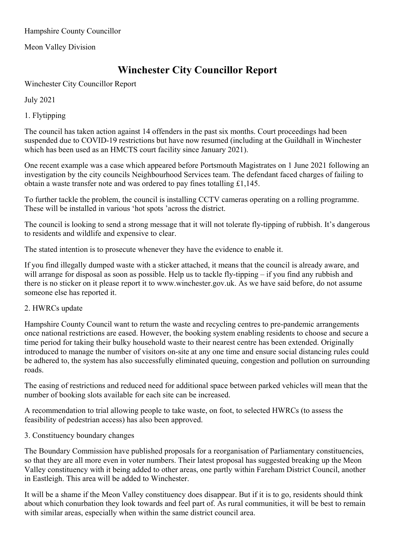Hampshire County Councillor

Meon Valley Division

# Winchester City Councillor Report

Winchester City Councillor Report

July 2021

1. Flytipping

The council has taken action against 14 offenders in the past six months. Court proceedings had been suspended due to COVID-19 restrictions but have now resumed (including at the Guildhall in Winchester which has been used as an HMCTS court facility since January 2021).

One recent example was a case which appeared before Portsmouth Magistrates on 1 June 2021 following an investigation by the city councils Neighbourhood Services team. The defendant faced charges of failing to obtain a waste transfer note and was ordered to pay fines totalling £1,145.

To further tackle the problem, the council is installing CCTV cameras operating on a rolling programme. These will be installed in various 'hot spots 'across the district.

The council is looking to send a strong message that it will not tolerate fly-tipping of rubbish. It's dangerous to residents and wildlife and expensive to clear.

The stated intention is to prosecute whenever they have the evidence to enable it.

If you find illegally dumped waste with a sticker attached, it means that the council is already aware, and will arrange for disposal as soon as possible. Help us to tackle fly-tipping – if you find any rubbish and there is no sticker on it please report it to www.winchester.gov.uk. As we have said before, do not assume someone else has reported it.

#### 2. HWRCs update

Hampshire County Council want to return the waste and recycling centres to pre-pandemic arrangements once national restrictions are eased. However, the booking system enabling residents to choose and secure a time period for taking their bulky household waste to their nearest centre has been extended. Originally introduced to manage the number of visitors on-site at any one time and ensure social distancing rules could be adhered to, the system has also successfully eliminated queuing, congestion and pollution on surrounding roads.

The easing of restrictions and reduced need for additional space between parked vehicles will mean that the number of booking slots available for each site can be increased.

A recommendation to trial allowing people to take waste, on foot, to selected HWRCs (to assess the feasibility of pedestrian access) has also been approved.

#### 3. Constituency boundary changes

The Boundary Commission have published proposals for a reorganisation of Parliamentary constituencies, so that they are all more even in voter numbers. Their latest proposal has suggested breaking up the Meon Valley constituency with it being added to other areas, one partly within Fareham District Council, another in Eastleigh. This area will be added to Winchester.

It will be a shame if the Meon Valley constituency does disappear. But if it is to go, residents should think about which conurbation they look towards and feel part of. As rural communities, it will be best to remain with similar areas, especially when within the same district council area.